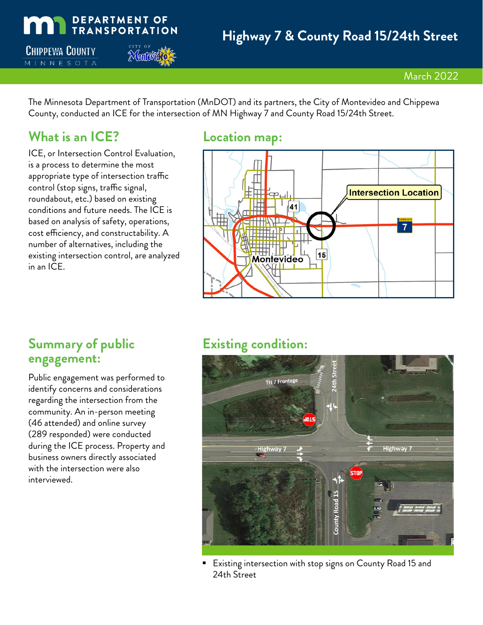

The Minnesota Department of Transportation (MnDOT) and its partners, the City of Montevideo and Chippewa County, conducted an ICE for the intersection of MN Highway 7 and County Road 15/24th Street.

## **What is an ICE? Location map:**

ICE, or Intersection Control Evaluation, is a process to determine the most appropriate type of intersection traffic control (stop signs, traffic signal, roundabout, etc.) based on existing conditions and future needs. The ICE is based on analysis of safety, operations, cost efficiency, and constructability. A number of alternatives, including the existing intersection control, are analyzed in an ICE.



## **Summary of public engagement:**

Public engagement was performed to identify concerns and considerations regarding the intersection from the community. An in-person meeting (46 attended) and online survey (289 responded) were conducted during the ICE process. Property and business owners directly associated with the intersection were also interviewed.

# **Existing condition:**



 Existing intersection with stop signs on County Road 15 and 24th Street